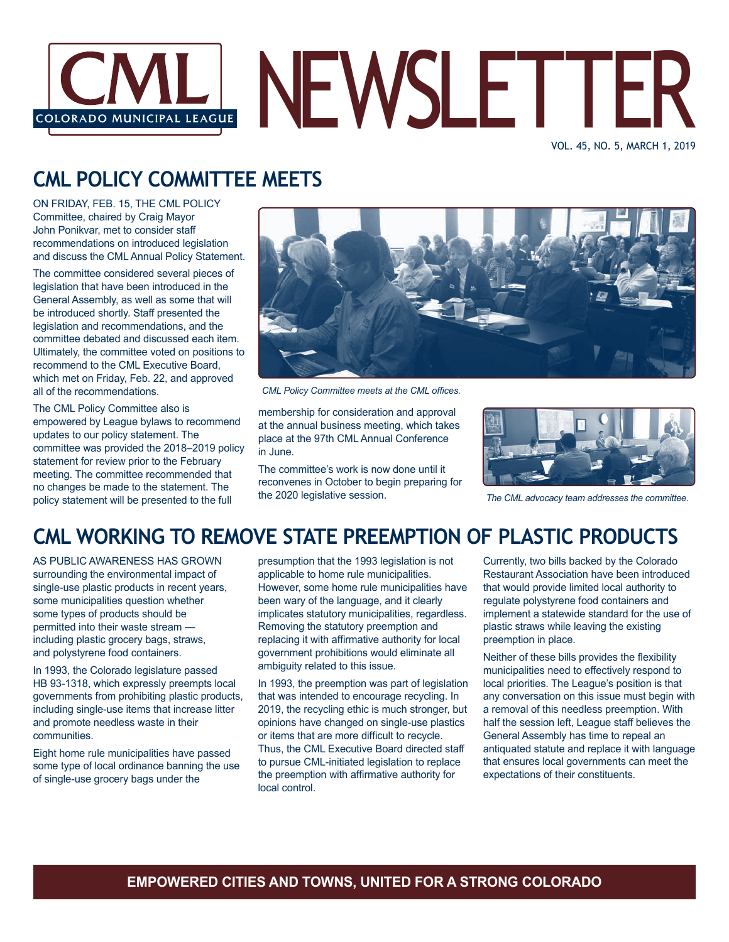

VOL. 45, NO. 5, MARCH 1, 2019

# **CML POLICY COMMITTEE MEETS**

ON FRIDAY, FEB. 15, THE CML POLICY Committee, chaired by Craig Mayor John Ponikvar, met to consider staff recommendations on introduced legislation and discuss the CML Annual Policy Statement.

The committee considered several pieces of legislation that have been introduced in the General Assembly, as well as some that will be introduced shortly. Staff presented the legislation and recommendations, and the committee debated and discussed each item. Ultimately, the committee voted on positions to recommend to the CML Executive Board, which met on Friday, Feb. 22, and approved all of the recommendations.

The CML Policy Committee also is empowered by League bylaws to recommend updates to our policy statement. The committee was provided the 2018–2019 policy statement for review prior to the February meeting. The committee recommended that no changes be made to the statement. The policy statement will be presented to the full



*CML Policy Committee meets at the CML offices.*

membership for consideration and approval at the annual business meeting, which takes place at the 97th CML Annual Conference in June.

The committee's work is now done until it reconvenes in October to begin preparing for the 2020 legislative session. *The CML advocacy team addresses the committee.*



## **CML WORKING TO REMOVE STATE PREEMPTION OF PLASTIC PRODUCTS**

AS PUBLIC AWARENESS HAS GROWN surrounding the environmental impact of single-use plastic products in recent years, some municipalities question whether some types of products should be permitted into their waste stream including plastic grocery bags, straws, and polystyrene food containers.

In 1993, the Colorado legislature passed HB 93-1318, which expressly preempts local governments from prohibiting plastic products, including single-use items that increase litter and promote needless waste in their communities.

Eight home rule municipalities have passed some type of local ordinance banning the use of single-use grocery bags under the

presumption that the 1993 legislation is not applicable to home rule municipalities. However, some home rule municipalities have been wary of the language, and it clearly implicates statutory municipalities, regardless. Removing the statutory preemption and replacing it with affirmative authority for local government prohibitions would eliminate all ambiguity related to this issue.

In 1993, the preemption was part of legislation that was intended to encourage recycling. In 2019, the recycling ethic is much stronger, but opinions have changed on single-use plastics or items that are more difficult to recycle. Thus, the CML Executive Board directed staff to pursue CML-initiated legislation to replace the preemption with affirmative authority for local control.

Currently, two bills backed by the Colorado Restaurant Association have been introduced that would provide limited local authority to regulate polystyrene food containers and implement a statewide standard for the use of plastic straws while leaving the existing preemption in place.

Neither of these bills provides the flexibility municipalities need to effectively respond to local priorities. The League's position is that any conversation on this issue must begin with a removal of this needless preemption. With half the session left, League staff believes the General Assembly has time to repeal an antiquated statute and replace it with language that ensures local governments can meet the expectations of their constituents.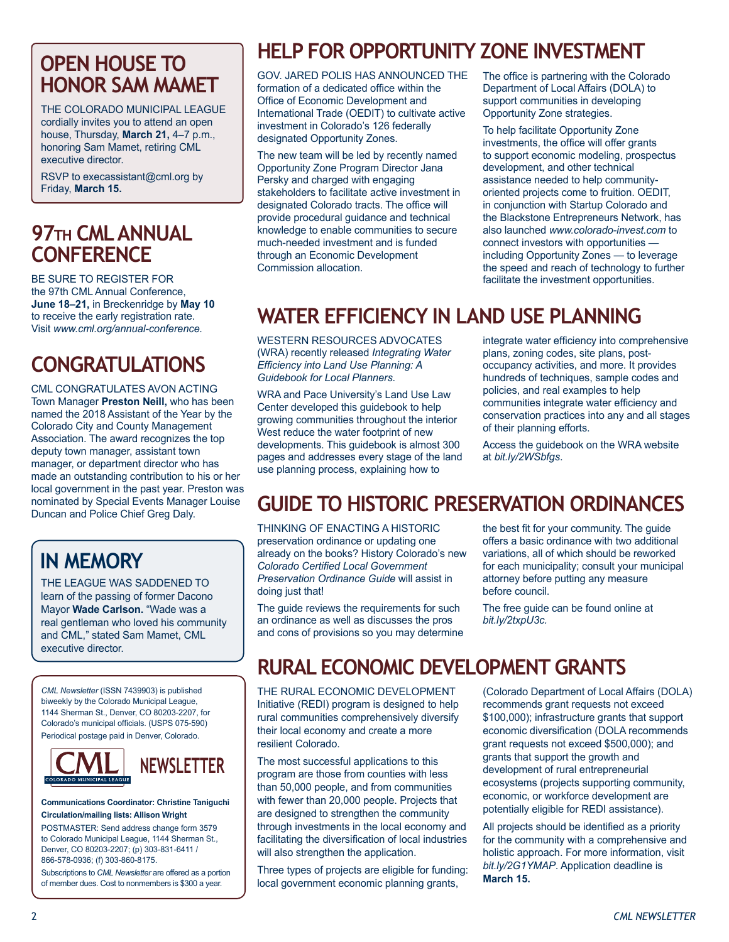## **OPEN HOUSE TO HONOR SAM MAMET**

THE COLORADO MUNICIPAL LEAGUE cordially invites you to attend an open house, Thursday, **March 21,** 4–7 p.m., honoring Sam Mamet, retiring CML executive director.

RSVP to execassistant@cml.org by Friday, **March 15.**

## **97th CML ANNUAL CONFERENCE**

BE SURE TO REGISTER FOR the 97th CML Annual Conference, **June 18–21,** in Breckenridge by **May 10** to receive the early registration rate. Visit *www.cml.org/annual-conference.*

## **CONGRATULATIONS**

CML CONGRATULATES AVON ACTING Town Manager **Preston Neill,** who has been named the 2018 Assistant of the Year by the Colorado City and County Management Association. The award recognizes the top deputy town manager, assistant town manager, or department director who has made an outstanding contribution to his or her local government in the past year. Preston was nominated by Special Events Manager Louise Duncan and Police Chief Greg Daly.

# **IN MEMORY**

THE LEAGUE WAS SADDENED TO learn of the passing of former Dacono Mayor **Wade Carlson.** "Wade was a real gentleman who loved his community and CML," stated Sam Mamet, CML executive director.

*CML Newsletter* (ISSN 7439903) is published biweekly by the Colorado Municipal League, 1144 Sherman St., Denver, CO 80203-2207, for Colorado's municipal officials. (USPS 075-590) Periodical postage paid in Denver, Colorado.



**Communications Coordinator: Christine Taniguchi Circulation/mailing lists: Allison Wright**

POSTMASTER: Send address change form 3579 to Colorado Municipal League, 1144 Sherman St., Denver, CO 80203-2207; (p) 303-831-6411 / 866-578-0936; (f) 303-860-8175.

Subscriptions to *CML Newsletter* are offered as a portion of member dues. Cost to nonmembers is \$300 a year.

# **HELP FOR OPPORTUNITY ZONE INVESTMENT**

GOV. JARED POLIS HAS ANNOUNCED THE formation of a dedicated office within the Office of Economic Development and International Trade (OEDIT) to cultivate active investment in Colorado's 126 federally designated Opportunity Zones.

The new team will be led by recently named Opportunity Zone Program Director Jana Persky and charged with engaging stakeholders to facilitate active investment in designated Colorado tracts. The office will provide procedural guidance and technical knowledge to enable communities to secure much-needed investment and is funded through an Economic Development Commission allocation.

The office is partnering with the Colorado Department of Local Affairs (DOLA) to support communities in developing Opportunity Zone strategies.

To help facilitate Opportunity Zone investments, the office will offer grants to support economic modeling, prospectus development, and other technical assistance needed to help communityoriented projects come to fruition. OEDIT, in conjunction with Startup Colorado and the Blackstone Entrepreneurs Network, has also launched *www.colorado-invest.com* to connect investors with opportunities including Opportunity Zones — to leverage the speed and reach of technology to further facilitate the investment opportunities.

# **WATER EFFICIENCY IN LAND USE PLANNING**

WESTERN RESOURCES ADVOCATES (WRA) recently released *Integrating Water Efficiency into Land Use Planning: A Guidebook for Local Planners.*

WRA and Pace University's Land Use Law Center developed this guidebook to help growing communities throughout the interior West reduce the water footprint of new developments. This guidebook is almost 300 pages and addresses every stage of the land use planning process, explaining how to

integrate water efficiency into comprehensive plans, zoning codes, site plans, postoccupancy activities, and more. It provides hundreds of techniques, sample codes and policies, and real examples to help communities integrate water efficiency and conservation practices into any and all stages of their planning efforts.

Access the guidebook on the WRA website at *bit.ly/2WSbfgs*.

# **GUIDE TO HISTORIC PRESERVATION ORDINANCES**

THINKING OF ENACTING A HISTORIC preservation ordinance or updating one already on the books? History Colorado's new *Colorado Certified Local Government Preservation Ordinance Guide* will assist in doing just that!

The guide reviews the requirements for such an ordinance as well as discusses the pros and cons of provisions so you may determine the best fit for your community. The guide offers a basic ordinance with two additional variations, all of which should be reworked for each municipality; consult your municipal attorney before putting any measure before council.

The free guide can be found online at *bit.ly/2txpU3c.*

# **RURAL ECONOMIC DEVELOPMENT GRANTS**

THE RURAL ECONOMIC DEVELOPMENT Initiative (REDI) program is designed to help rural communities comprehensively diversify their local economy and create a more resilient Colorado.

The most successful applications to this program are those from counties with less than 50,000 people, and from communities with fewer than 20,000 people. Projects that are designed to strengthen the community through investments in the local economy and facilitating the diversification of local industries will also strengthen the application.

Three types of projects are eligible for funding: local government economic planning grants,

(Colorado Department of Local Affairs (DOLA) recommends grant requests not exceed \$100,000); infrastructure grants that support economic diversification (DOLA recommends grant requests not exceed \$500,000); and grants that support the growth and development of rural entrepreneurial ecosystems (projects supporting community, economic, or workforce development are potentially eligible for REDI assistance).

All projects should be identified as a priority for the community with a comprehensive and holistic approach. For more information, visit *bit.ly/2G1YMAP*. Application deadline is **March 15.**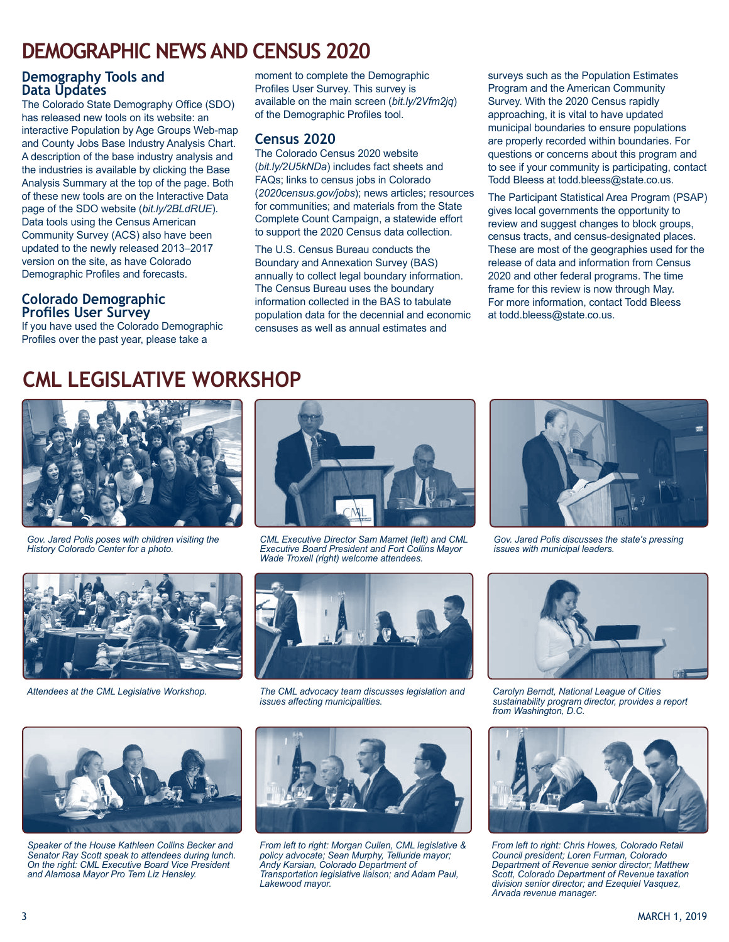## **DEMOGRAPHIC NEWS AND CENSUS 2020**

#### **Demography Tools and Data Updates**

The Colorado State Demography Office (SDO) has released new tools on its website: an interactive Population by Age Groups Web-map and County Jobs Base Industry Analysis Chart. A description of the base industry analysis and the industries is available by clicking the Base Analysis Summary at the top of the page. Both of these new tools are on the Interactive Data page of the SDO website (*bit.ly/2BLdRUE*). Data tools using the Census American Community Survey (ACS) also have been updated to the newly released 2013–2017 version on the site, as have Colorado Demographic Profiles and forecasts.

#### **Colorado Demographic Profiles User Survey**

If you have used the Colorado Demographic Profiles over the past year, please take a

moment to complete the Demographic Profiles User Survey. This survey is available on the main screen (*bit.ly/2Vfm2jq*) of the Demographic Profiles tool.

#### **Census 2020**

The Colorado Census 2020 website (*bit.ly/2U5kNDa*) includes fact sheets and FAQs; links to census jobs in Colorado (*2020census.gov/jobs*); news articles; resources for communities; and materials from the State Complete Count Campaign, a statewide effort to support the 2020 Census data collection.

The U.S. Census Bureau conducts the Boundary and Annexation Survey (BAS) annually to collect legal boundary information. The Census Bureau uses the boundary information collected in the BAS to tabulate population data for the decennial and economic censuses as well as annual estimates and

surveys such as the Population Estimates Program and the American Community Survey. With the 2020 Census rapidly approaching, it is vital to have updated municipal boundaries to ensure populations are properly recorded within boundaries. For questions or concerns about this program and to see if your community is participating, contact Todd Bleess at todd.bleess@state.co.us.

The Participant Statistical Area Program (PSAP) gives local governments the opportunity to review and suggest changes to block groups, census tracts, and census-designated places. These are most of the geographies used for the release of data and information from Census 2020 and other federal programs. The time frame for this review is now through May. For more information, contact Todd Bleess at todd.bleess@state.co.us.

## **CML LEGISLATIVE WORKSHOP**



*Gov. Jared Polis poses with children visiting the History Colorado Center for a photo.*



*CML Executive Director Sam Mamet (left) and CML Executive Board President and Fort Collins Mayor Wade Troxell (right) welcome attendees.*



*Attendees at the CML Legislative Workshop.*



*The CML advocacy team discusses legislation and issues affecting municipalities.* 



*Gov. Jared Polis discusses the state's pressing issues with municipal leaders.*



*Carolyn Berndt, National League of Cities sustainability program director, provides a report from Washington, D.C.*



*From left to right: Chris Howes, Colorado Retail Council president; Loren Furman, Colorado Department of Revenue senior director; Matthew Scott, Colorado Department of Revenue taxation division senior director; and Ezequiel Vasquez, Arvada revenue manager.*



*Speaker of the House Kathleen Collins Becker and Senator Ray Scott speak to attendees during lunch. On the right: CML Executive Board Vice President and Alamosa Mayor Pro Tem Liz Hensley.*



*From left to right: Morgan Cullen, CML legislative & policy advocate; Sean Murphy, Telluride mayor; Andy Karsian, Colorado Department of Transportation legislative liaison; and Adam Paul, Lakewood mayor.*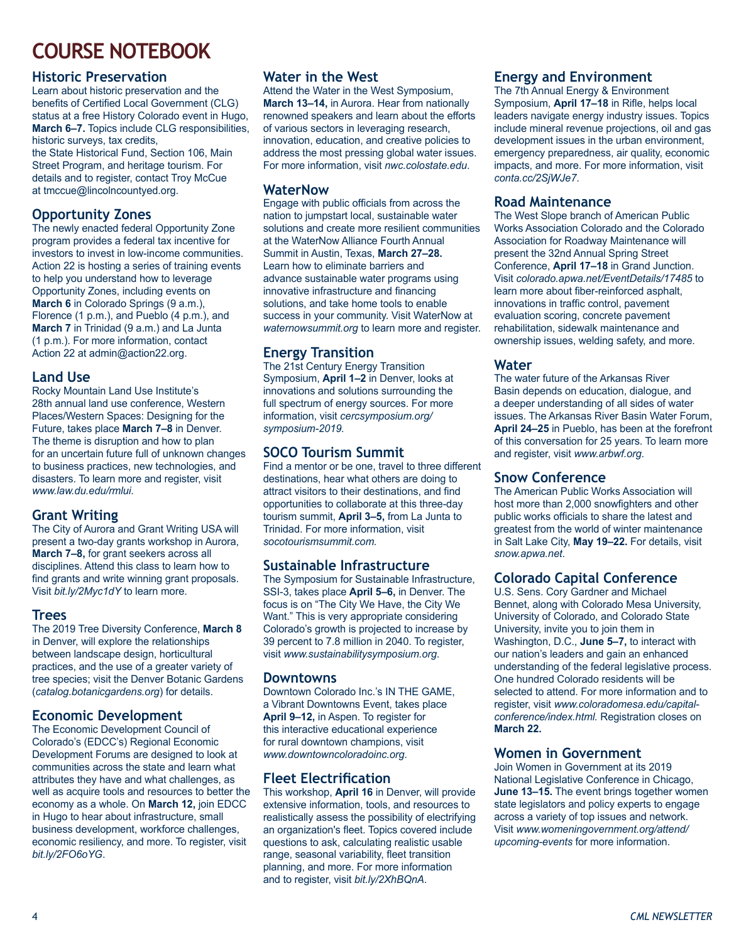# **COURSE NOTEBOOK**

#### **Historic Preservation**

Learn about historic preservation and the benefits of Certified Local Government (CLG) status at a free History Colorado event in Hugo, **March 6–7.** Topics include CLG responsibilities, historic surveys, tax credits,

the State Historical Fund, Section 106, Main Street Program, and heritage tourism. For details and to register, contact Troy McCue at tmccue@lincolncountyed.org.

### **Opportunity Zones**

The newly enacted federal Opportunity Zone program provides a federal tax incentive for investors to invest in low-income communities. Action 22 is hosting a series of training events to help you understand how to leverage Opportunity Zones, including events on **March 6** in Colorado Springs (9 a.m.), Florence (1 p.m.), and Pueblo (4 p.m.), and **March 7** in Trinidad (9 a.m.) and La Junta (1 p.m.). For more information, contact Action 22 at admin@action22.org.

#### **Land Use**

Rocky Mountain Land Use Institute's 28th annual land use conference, Western Places/Western Spaces: Designing for the Future, takes place **March 7–8** in Denver. The theme is disruption and how to plan for an uncertain future full of unknown changes to business practices, new technologies, and disasters. To learn more and register, visit *www.law.du.edu/rmlui*.

#### **Grant Writing**

The City of Aurora and Grant Writing USA will present a two-day grants workshop in Aurora, **March 7–8,** for grant seekers across all disciplines. Attend this class to learn how to find grants and write winning grant proposals. Visit *bit.ly/2Myc1dY* to learn more.

#### **Trees**

The 2019 Tree Diversity Conference, **March 8** in Denver, will explore the relationships between landscape design, horticultural practices, and the use of a greater variety of tree species; visit the Denver Botanic Gardens (*catalog.botanicgardens.org*) for details.

### **Economic Development**

The Economic Development Council of Colorado's (EDCC's) Regional Economic Development Forums are designed to look at communities across the state and learn what attributes they have and what challenges, as well as acquire tools and resources to better the economy as a whole. On **March 12,** join EDCC in Hugo to hear about infrastructure, small business development, workforce challenges, economic resiliency, and more. To register, visit *bit.ly/2FO6oYG*.

#### **Water in the West**

Attend the Water in the West Symposium, **March 13–14,** in Aurora. Hear from nationally renowned speakers and learn about the efforts of various sectors in leveraging research, innovation, education, and creative policies to address the most pressing global water issues. For more information, visit *nwc.colostate.edu*.

#### **WaterNow**

Engage with public officials from across the nation to jumpstart local, sustainable water solutions and create more resilient communities at the WaterNow Alliance Fourth Annual Summit in Austin, Texas, **March 27–28.** Learn how to eliminate barriers and advance sustainable water programs using innovative infrastructure and financing solutions, and take home tools to enable success in your community. Visit WaterNow at *waternowsummit.org* to learn more and register.

### **Energy Transition**

The 21st Century Energy Transition Symposium, **April 1–2** in Denver, looks at innovations and solutions surrounding the full spectrum of energy sources. For more information, visit *cercsymposium.org/ symposium-2019.*

### **SOCO Tourism Summit**

Find a mentor or be one, travel to three different destinations, hear what others are doing to attract visitors to their destinations, and find opportunities to collaborate at this three-day tourism summit, **April 3–5,** from La Junta to Trinidad. For more information, visit *socotourismsummit.com.*

#### **Sustainable Infrastructure**

The Symposium for Sustainable Infrastructure, SSI-3, takes place **April 5–6,** in Denver. The focus is on "The City We Have, the City We Want." This is very appropriate considering Colorado's growth is projected to increase by 39 percent to 7.8 million in 2040. To register, visit *www.sustainabilitysymposium.org*.

#### **Downtowns**

Downtown Colorado Inc.'s IN THE GAME, a Vibrant Downtowns Event, takes place **April 9–12,** in Aspen. To register for this interactive educational experience for rural downtown champions, visit *www.downtowncoloradoinc.org*.

### **Fleet Electrification**

This workshop, **April 16** in Denver, will provide extensive information, tools, and resources to realistically assess the possibility of electrifying an organization's fleet. Topics covered include questions to ask, calculating realistic usable range, seasonal variability, fleet transition planning, and more. For more information and to register, visit *bit.ly/2XhBQnA*.

### **Energy and Environment**

The 7th Annual Energy & Environment Symposium, **April 17–18** in Rifle, helps local leaders navigate energy industry issues. Topics include mineral revenue projections, oil and gas development issues in the urban environment, emergency preparedness, air quality, economic impacts, and more. For more information, visit *conta.cc/2SjWJe7*.

#### **Road Maintenance**

The West Slope branch of American Public Works Association Colorado and the Colorado Association for Roadway Maintenance will present the 32nd Annual Spring Street Conference, **April 17–18** in Grand Junction. Visit *colorado.apwa.net/EventDetails/17485* to learn more about fiber-reinforced asphalt, innovations in traffic control, pavement evaluation scoring, concrete pavement rehabilitation, sidewalk maintenance and ownership issues, welding safety, and more.

#### **Water**

The water future of the Arkansas River Basin depends on education, dialogue, and a deeper understanding of all sides of water issues. The Arkansas River Basin Water Forum, **April 24–25** in Pueblo, has been at the forefront of this conversation for 25 years. To learn more and register, visit *www.arbwf.org*.

#### **Snow Conference**

The American Public Works Association will host more than 2,000 snowfighters and other public works officials to share the latest and greatest from the world of winter maintenance in Salt Lake City, **May 19–22.** For details, visit *snow.apwa.net*.

### **Colorado Capital Conference**

U.S. Sens. Cory Gardner and Michael Bennet, along with Colorado Mesa University, University of Colorado, and Colorado State University, invite you to join them in Washington, D.C., **June 5–7,** to interact with our nation's leaders and gain an enhanced understanding of the federal legislative process. One hundred Colorado residents will be selected to attend. For more information and to register, visit *www.coloradomesa.edu/capitalconference/index.html.* Registration closes on **March 22.**

#### **Women in Government**

Join Women in Government at its 2019 National Legislative Conference in Chicago, **June 13–15.** The event brings together women state legislators and policy experts to engage across a variety of top issues and network. Visit *www.womeningovernment.org/attend/ upcoming-events* for more information.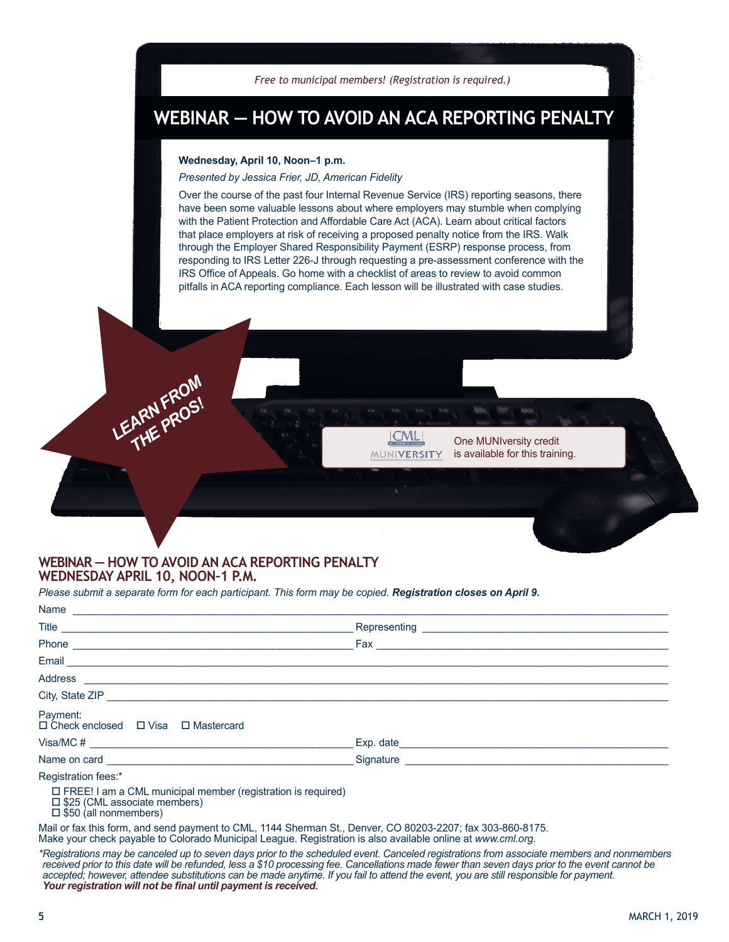

## **WEBINAR — HOW TO AVOID AN ACA REPORTING PENALTY**

#### **Wednesday, April 10, Noon–1 p.m.**

*Presented by Jessica Frier, JD, American Fidelity* 

Over the course of the past four Internal Revenue Service (IRS) reporting seasons, there have been some valuable lessons about where employers may stumble when complying with the Patient Protection and Affordable Care Act (ACA). Learn about critical factors that place employers at risk of receiving a proposed penalty notice from the IRS. Walk through the Employer Shared Responsibility Payment (ESRP) response process, from responding to IRS Letter 226-J through requesting a pre-assessment conference with the IRS Office of Appeals. Go home with a checklist of areas to review to avoid common pitfalls in ACA reporting compliance. Each lesson will be illustrated with case studies.

> **ICMLI MUNIVERSITY**

One MUNIversity credit is available for this training.

#### **WEBINAR — HOW TO AVOID AN ACA REPORTING PENALTY WEDNESDAY APRIL 10, NOON–1 P.M.**

LEARN FROM ARN Fr<sub>OS!</sub>

*Please submit a separate form for each participant. This form may be copied. Registration closes on April 9.*

| Payment:<br>$\Box$ Check enclosed $\Box$ Visa $\Box$ Mastercard                                                                               |  |
|-----------------------------------------------------------------------------------------------------------------------------------------------|--|
|                                                                                                                                               |  |
|                                                                                                                                               |  |
| Registration fees:*                                                                                                                           |  |
| $\Box$ FREE! I am a CML municipal member (registration is required)<br>$\Box$ \$25 (CML associate members)<br>$\square$ \$50 (all nonmembers) |  |
| Meil exfectbie fexes and each permeable CML 4444 Character CL Denice CO 00000 0007, for 000 000 0475                                          |  |

Mail or fax this form, and send payment to CML, 1144 Sherman St., Denver, CO 80203-2207; fax 303-860-8175. Make your check payable to Colorado Municipal League. Registration is also available online at *www.cml.org*.

*\*Registrations may be canceled up to seven days prior to the scheduled event. Canceled registrations from associate members and nonmembers received prior to this date will be refunded, less a \$10 processing fee. Cancellations made fewer than seven days prior to the event cannot be accepted; however, attendee substitutions can be made anytime. If you fail to attend the event, you are still responsible for payment. Your registration will not be final until payment is received.*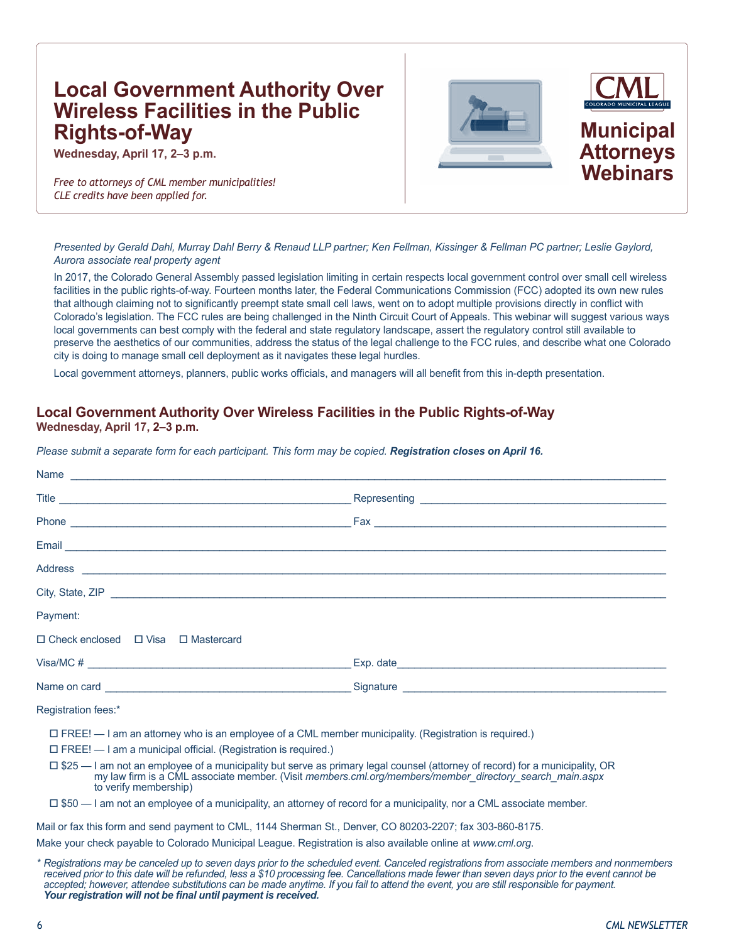### **Local Government Authority Over Wireless Facilities in the Public Rights-of-Way**

**Wednesday, April 17, 2–3 p.m.**

**Webinars** *Free to attorneys of CML member municipalities! CLE credits have been applied for.*



*Presented by Gerald Dahl, Murray Dahl Berry & Renaud LLP partner; Ken Fellman, Kissinger & Fellman PC partner; Leslie Gaylord, Aurora associate real property agent*

In 2017, the Colorado General Assembly passed legislation limiting in certain respects local government control over small cell wireless facilities in the public rights-of-way. Fourteen months later, the Federal Communications Commission (FCC) adopted its own new rules that although claiming not to significantly preempt state small cell laws, went on to adopt multiple provisions directly in conflict with Colorado's legislation. The FCC rules are being challenged in the Ninth Circuit Court of Appeals. This webinar will suggest various ways local governments can best comply with the federal and state regulatory landscape, assert the regulatory control still available to preserve the aesthetics of our communities, address the status of the legal challenge to the FCC rules, and describe what one Colorado city is doing to manage small cell deployment as it navigates these legal hurdles.

Local government attorneys, planners, public works officials, and managers will all benefit from this in-depth presentation.

### **Local Government Authority Over Wireless Facilities in the Public Rights-of-Way**

**Wednesday, April 17, 2–3 p.m.**

*Please submit a separate form for each participant. This form may be copied. Registration closes on April 16.*

| Address experiences and the contract of the contract of the contract of the contract of the contract of the contract of the contract of the contract of the contract of the contract of the contract of the contract of the co                                          |                                                                                                                                                                                                                                                                                                             |
|-------------------------------------------------------------------------------------------------------------------------------------------------------------------------------------------------------------------------------------------------------------------------|-------------------------------------------------------------------------------------------------------------------------------------------------------------------------------------------------------------------------------------------------------------------------------------------------------------|
| City, State, ZIP <u>example and the state of the state of</u> the state of the state of the state of the state of the state of the state of the state of the state of the state of the state of the state of the state of the state                                     |                                                                                                                                                                                                                                                                                                             |
| Payment:                                                                                                                                                                                                                                                                |                                                                                                                                                                                                                                                                                                             |
| $\Box$ Check enclosed $\Box$ Visa $\Box$ Mastercard                                                                                                                                                                                                                     |                                                                                                                                                                                                                                                                                                             |
|                                                                                                                                                                                                                                                                         | Visa/MC # $\qquad \qquad$ Exp. date $\qquad \qquad$ Exp. date $\qquad \qquad$ Exp. date $\qquad \qquad$ Exp. date $\qquad \qquad$ Exp. date $\qquad \qquad$ Exp. date $\qquad \qquad$ Exp. date $\qquad \qquad$ Exp. date $\qquad \qquad$ Exp. date $\qquad \qquad$ Exp. date $\qquad \qquad$ Exp. date $\$ |
|                                                                                                                                                                                                                                                                         |                                                                                                                                                                                                                                                                                                             |
| Registration fees:*                                                                                                                                                                                                                                                     |                                                                                                                                                                                                                                                                                                             |
| $\Box$ FREE! $-$ I am an attorney who is an employee of a CML member municipality. (Registration is required.)<br>$\Box$ FREE! $-$ I am a municipal official. (Registration is required.)                                                                               |                                                                                                                                                                                                                                                                                                             |
| $\Box$ \$25 — I am not an employee of a municipality but serve as primary legal counsel (attorney of record) for a municipality, OR<br>my law firm is a CML associate member. (Visit members.cml.org/members/member_directory_search_main.aspx<br>to verify membership) |                                                                                                                                                                                                                                                                                                             |
| $\Box$ \$50 — I am not an employee of a municipality, an attorney of record for a municipality, nor a CML associate member.                                                                                                                                             |                                                                                                                                                                                                                                                                                                             |

Mail or fax this form and send payment to CML, 1144 Sherman St., Denver, CO 80203-2207; fax 303-860-8175.

Make your check payable to Colorado Municipal League. Registration is also available online at *www.cml.org*.

*\* Registrations may be canceled up to seven days prior to the scheduled event. Canceled registrations from associate members and nonmembers received prior to this date will be refunded, less a \$10 processing fee. Cancellations made fewer than seven days prior to the event cannot be*  accepted; however, attendee substitutions can be made anytime. If you fail to attend the event, you are still responsible for payment. *Your registration will not be final until payment is received.*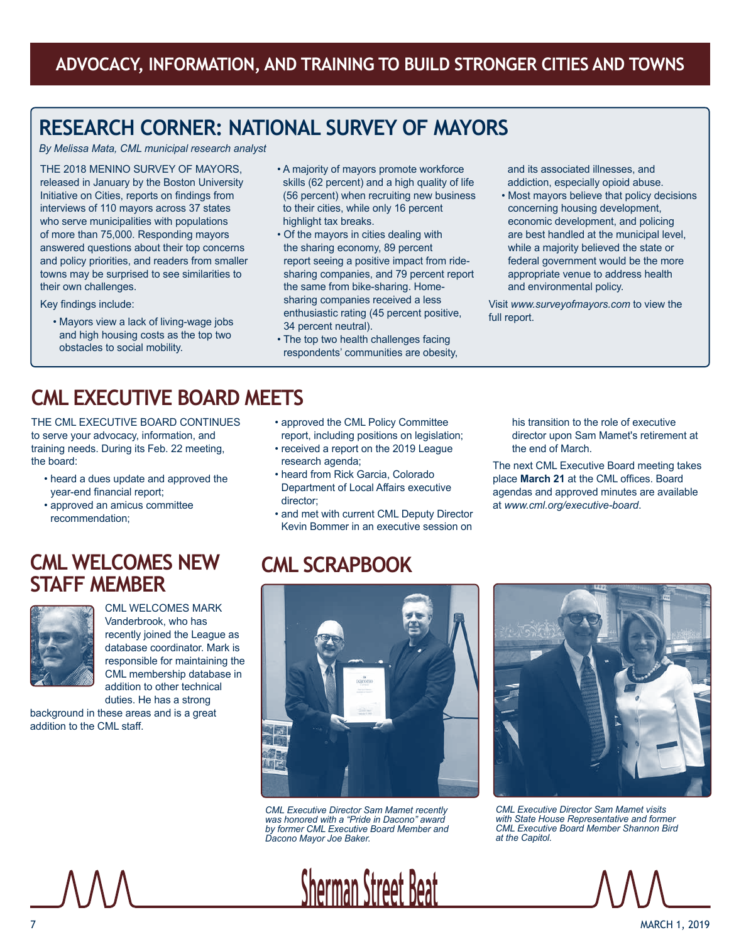# **RESEARCH CORNER: NATIONAL SURVEY OF MAYORS**

*By Melissa Mata, CML municipal research analyst*

THE 2018 MENINO SURVEY OF MAYORS, released in January by the Boston University Initiative on Cities, reports on findings from interviews of 110 mayors across 37 states who serve municipalities with populations of more than 75,000. Responding mayors answered questions about their top concerns and policy priorities, and readers from smaller towns may be surprised to see similarities to their own challenges.

Key findings include:

• Mayors view a lack of living-wage jobs and high housing costs as the top two obstacles to social mobility.

- A majority of mayors promote workforce skills (62 percent) and a high quality of life (56 percent) when recruiting new business to their cities, while only 16 percent highlight tax breaks.
- Of the mayors in cities dealing with the sharing economy, 89 percent report seeing a positive impact from ridesharing companies, and 79 percent report the same from bike-sharing. Homesharing companies received a less enthusiastic rating (45 percent positive, 34 percent neutral).
- The top two health challenges facing respondents' communities are obesity,

and its associated illnesses, and addiction, especially opioid abuse.

• Most mayors believe that policy decisions concerning housing development, economic development, and policing are best handled at the municipal level, while a majority believed the state or federal government would be the more appropriate venue to address health and environmental policy.

Visit *www.surveyofmayors.com* to view the full report.

# **CML EXECUTIVE BOARD MEETS**

THE CML EXECUTIVE BOARD CONTINUES to serve your advocacy, information, and training needs. During its Feb. 22 meeting, the board:

- heard a dues update and approved the year-end financial report;
- approved an amicus committee recommendation;
- approved the CML Policy Committee report, including positions on legislation;
- received a report on the 2019 League research agenda;
- heard from Rick Garcia, Colorado Department of Local Affairs executive director;
- and met with current CML Deputy Director Kevin Bommer in an executive session on

his transition to the role of executive director upon Sam Mamet's retirement at the end of March.

The next CML Executive Board meeting takes place **March 21** at the CML offices. Board agendas and approved minutes are available at *www.cml.org/executive-board*.

### **CML WELCOMES NEW STAFF MEMBER**



CML WELCOMES MARK Vanderbrook, who has recently joined the League as database coordinator. Mark is responsible for maintaining the CML membership database in addition to other technical duties. He has a strong

background in these areas and is a great addition to the CML staff.

# **CML SCRAPBOOK**



*CML Executive Director Sam Mamet recently was honored with a "Pride in Dacono" award by former CML Executive Board Member and Dacono Mayor Joe Baker.*

**Sherman Street Beat**



*CML Executive Director Sam Mamet visits with State House Representative and former CML Executive Board Member Shannon Bird at the Capitol.*